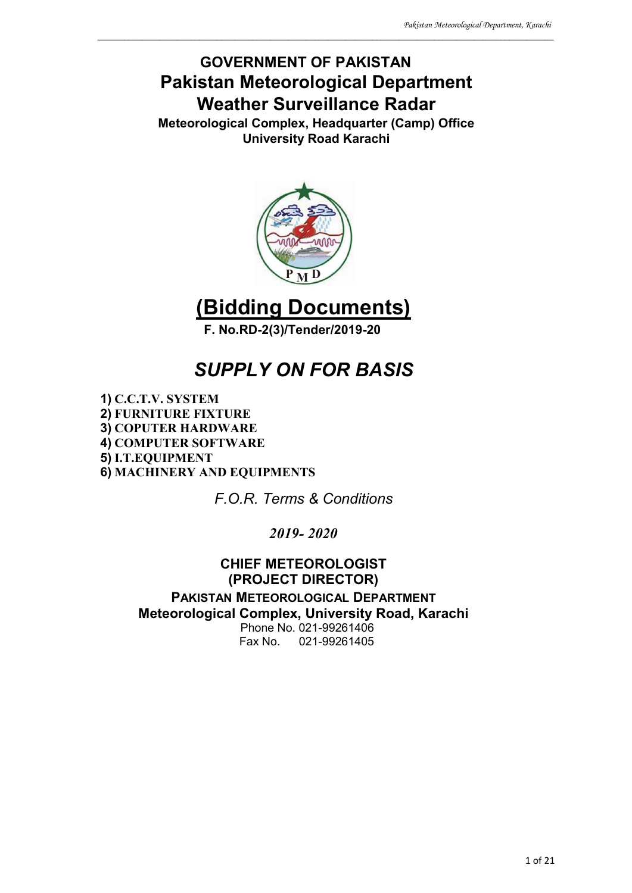## **GOVERNMENT OF PAKISTAN Pakistan Meteorological Department Weather Surveillance Radar**

\_\_\_\_\_\_\_\_\_\_\_\_\_\_\_\_\_\_\_\_\_\_\_\_\_\_\_\_\_\_\_\_\_\_\_\_\_\_\_\_\_\_\_\_\_\_\_\_\_\_\_\_\_\_\_\_\_\_\_\_\_\_\_\_\_\_\_\_\_\_\_\_\_\_\_\_\_\_\_\_\_\_\_\_\_\_\_\_\_\_\_\_\_\_\_\_\_\_\_\_\_\_\_

**Meteorological Complex, Headquarter (Camp) Office University Road Karachi**



**(Bidding Documents) F. No.RD-2(3)/Tender/2019-20**

## *SUPPLY ON FOR BASIS*

**1) C.C.T.V. SYSTEM 2) FURNITURE FIXTURE 3) COPUTER HARDWARE 4) COMPUTER SOFTWARE 5) I.T.EQUIPMENT 6) MACHINERY AND EQUIPMENTS**

*F.O.R. Terms & Conditions*

*2019- 2020*

**CHIEF METEOROLOGIST (PROJECT DIRECTOR) PAKISTAN METEOROLOGICAL DEPARTMENT Meteorological Complex, University Road, Karachi** Phone No. 021-99261406 Fax No. 021-99261405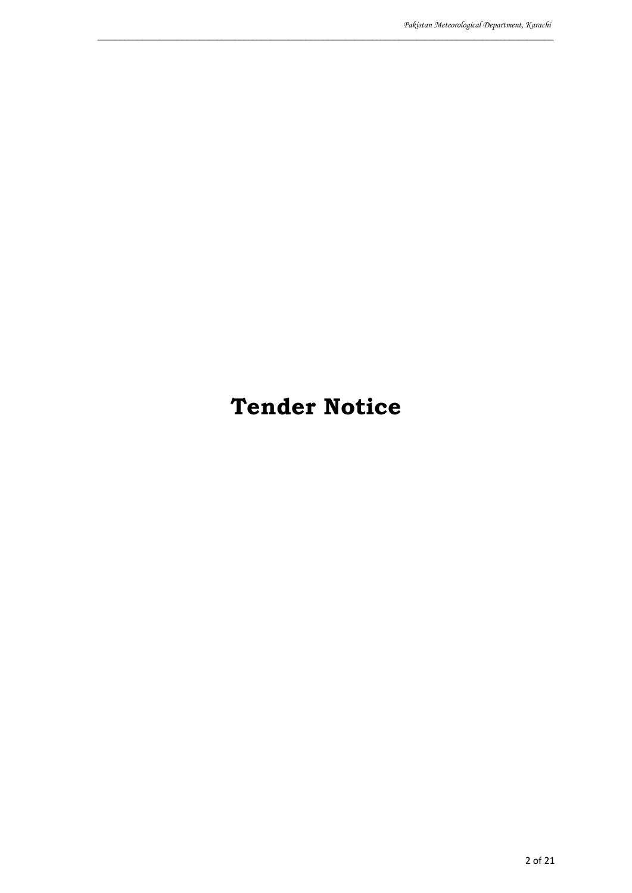# **Tender Notice**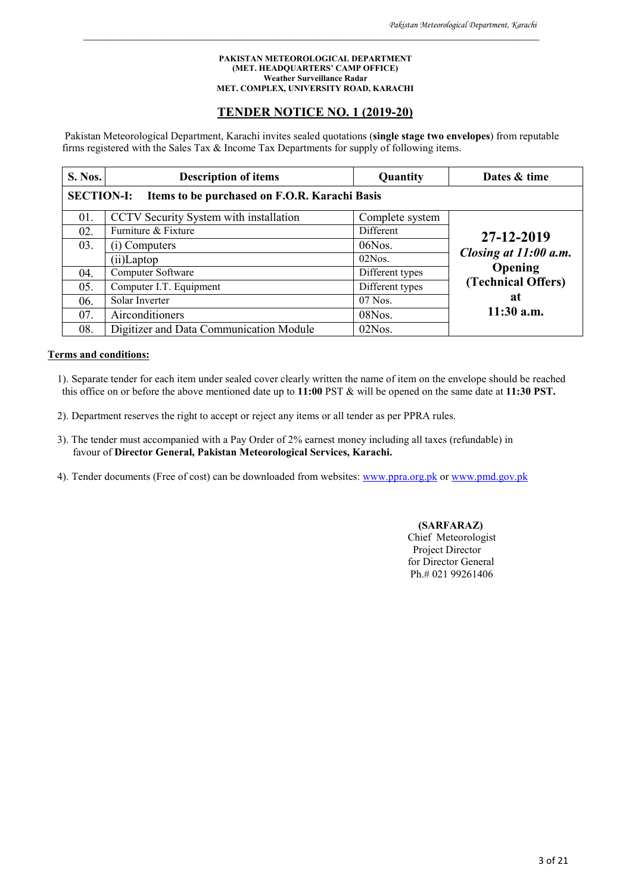#### **PAKISTAN METEOROLOGICAL DEPARTMENT (MET. HEADQUARTERS' CAMP OFFICE) Weather Surveillance Radar MET. COMPLEX, UNIVERSITY ROAD, KARACHI**

\_\_\_\_\_\_\_\_\_\_\_\_\_\_\_\_\_\_\_\_\_\_\_\_\_\_\_\_\_\_\_\_\_\_\_\_\_\_\_\_\_\_\_\_\_\_\_\_\_\_\_\_\_\_\_\_\_\_\_\_\_\_\_\_\_\_\_\_\_\_\_\_\_\_\_\_\_\_\_\_\_\_\_\_\_\_\_\_\_\_\_\_\_\_\_\_\_\_\_\_\_\_\_

#### **TENDER NOTICE NO. 1 (2019-20)**

Pakistan Meteorological Department, Karachi invites sealed quotations (**single stage two envelopes**) from reputable firms registered with the Sales Tax & Income Tax Departments for supply of following items.

| S. Nos.                                                            | <b>Description of items</b>             | Quantity        | Dates & time          |  |
|--------------------------------------------------------------------|-----------------------------------------|-----------------|-----------------------|--|
| <b>SECTION-I:</b><br>Items to be purchased on F.O.R. Karachi Basis |                                         |                 |                       |  |
| 01.                                                                | CCTV Security System with installation  | Complete system |                       |  |
| 02.                                                                | Furniture & Fixture                     | Different       | 27-12-2019            |  |
| 03.                                                                | (i) Computers                           | 06Nos.          |                       |  |
|                                                                    | (ii)Laptop                              | $02N$ os.       | Closing at 11:00 a.m. |  |
| 04.                                                                | Computer Software                       | Different types | Opening               |  |
| 05.                                                                | Computer I.T. Equipment                 | Different types | (Technical Offers)    |  |
| 06.                                                                | Solar Inverter                          | $07$ Nos.       | at                    |  |
| 07.                                                                | Airconditioners                         | 08Nos.          | $11:30$ a.m.          |  |
| 08.                                                                | Digitizer and Data Communication Module | 02Nos.          |                       |  |

#### **Terms and conditions:**

- 1). Separate tender for each item under sealed cover clearly written the name of item on the envelope should be reached this office on or before the above mentioned date up to **11:00** PST & will be opened on the same date at **11:30 PST.**
- 2). Department reserves the right to accept or reject any items or all tender as per PPRA rules.
- 3). The tender must accompanied with a Pay Order of 2% earnest money including all taxes (refundable) in favour of **Director General, Pakistan Meteorological Services, Karachi.**
- 4). Tender documents (Free of cost) can be downloaded from websites: www.ppra.org.pk or www.pmd.gov.pk

 **(SARFARAZ)** Chief Meteorologist Project Director for Director General Ph.# 021 99261406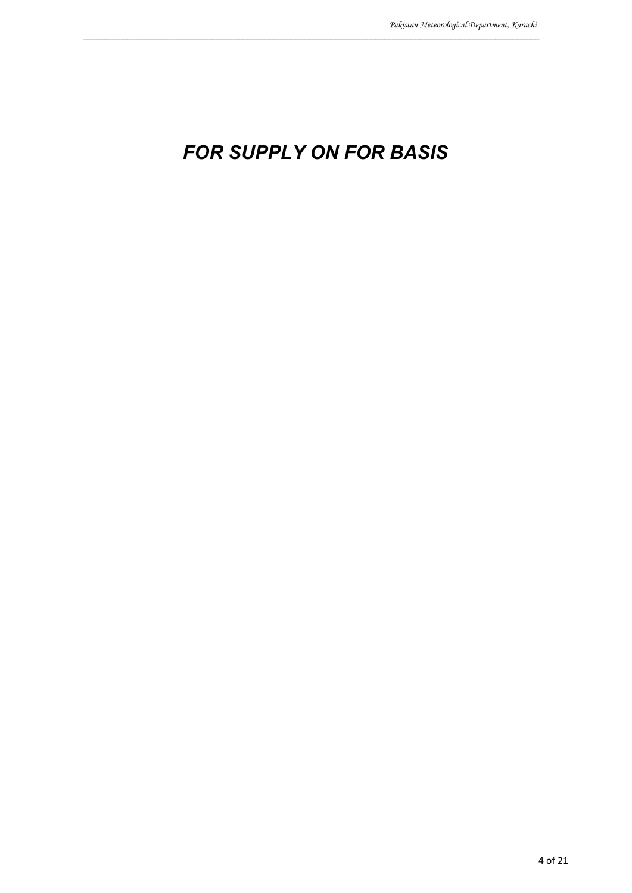# *FOR SUPPLY ON FOR BASIS*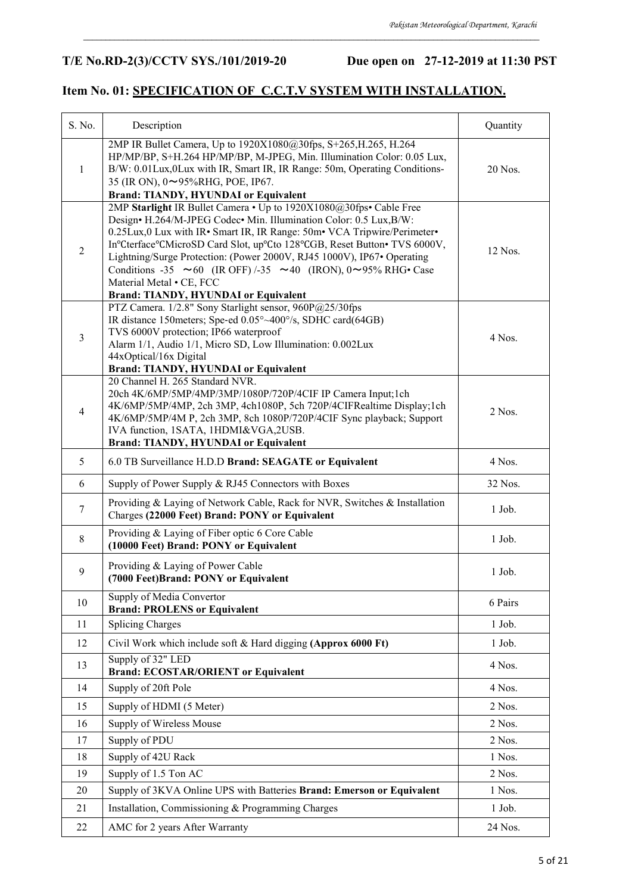## **T/E No.RD-2(3)/CCTV SYS./101/2019-20 Due open on 27-12-2019 at 11:30 PST**

## **Item No. 01: SPECIFICATION OF C.C.T.V SYSTEM WITH INSTALLATION.**

| S. No.         | Description                                                                                                                                                                                                                                                                                                                                                                                                                                                                                                                          | Quantity |
|----------------|--------------------------------------------------------------------------------------------------------------------------------------------------------------------------------------------------------------------------------------------------------------------------------------------------------------------------------------------------------------------------------------------------------------------------------------------------------------------------------------------------------------------------------------|----------|
| $\mathbf{1}$   | 2MP IR Bullet Camera, Up to 1920X1080@30fps, S+265, H.265, H.264<br>HP/MP/BP, S+H.264 HP/MP/BP, M-JPEG, Min. Illumination Color: 0.05 Lux,<br>B/W: 0.01Lux, 0Lux with IR, Smart IR, IR Range: 50m, Operating Conditions-<br>35 (IR ON), 0~95%RHG, POE, IP67.<br><b>Brand: TIANDY, HYUNDAI or Equivalent</b>                                                                                                                                                                                                                          | 20 Nos.  |
| $\overline{2}$ | 2MP Starlight IR Bullet Camera . Up to 1920X1080@30fps. Cable Free<br>Design• H.264/M-JPEG Codec• Min. Illumination Color: 0.5 Lux, B/W:<br>0.25Lux, 0 Lux with IR · Smart IR, IR Range: 50m · VCA Tripwire/Perimeter ·<br>In°Cterface°CMicroSD Card Slot, up°Cto 128°CGB, Reset Button• TVS 6000V,<br>Lightning/Surge Protection: (Power 2000V, RJ45 1000V), IP67• Operating<br>Conditions -35 $\sim$ 60 (IR OFF) /-35 $\sim$ 40 (IRON), 0 $\sim$ 95% RHG• Case<br>Material Metal . CE, FCC<br>Brand: TIANDY, HYUNDAI or Equivalent | 12 Nos.  |
| $\mathfrak{Z}$ | PTZ Camera. 1/2.8" Sony Starlight sensor, 960P@25/30fps<br>IR distance 150meters; Spe-ed 0.05°~400°/s, SDHC card(64GB)<br>TVS 6000V protection; IP66 waterproof<br>Alarm 1/1, Audio 1/1, Micro SD, Low Illumination: 0.002Lux<br>44xOptical/16x Digital<br><b>Brand: TIANDY, HYUNDAI or Equivalent</b>                                                                                                                                                                                                                               | 4 Nos.   |
| $\overline{4}$ | 20 Channel H. 265 Standard NVR.<br>20ch 4K/6MP/5MP/4MP/3MP/1080P/720P/4CIF IP Camera Input;1ch<br>4K/6MP/5MP/4MP, 2ch 3MP, 4ch1080P, 5ch 720P/4CIFRealtime Display;1ch<br>4K/6MP/5MP/4M P, 2ch 3MP, 8ch 1080P/720P/4CIF Sync playback; Support<br>IVA function, 1SATA, 1HDMI&VGA,2USB.<br><b>Brand: TIANDY, HYUNDAI or Equivalent</b>                                                                                                                                                                                                | 2 Nos.   |
| 5              | 6.0 TB Surveillance H.D.D Brand: SEAGATE or Equivalent                                                                                                                                                                                                                                                                                                                                                                                                                                                                               | 4 Nos.   |
| 6              | Supply of Power Supply & RJ45 Connectors with Boxes                                                                                                                                                                                                                                                                                                                                                                                                                                                                                  | 32 Nos.  |
| $\tau$         | Providing & Laying of Network Cable, Rack for NVR, Switches & Installation<br>Charges (22000 Feet) Brand: PONY or Equivalent                                                                                                                                                                                                                                                                                                                                                                                                         | 1 Job.   |
| $\,8\,$        | Providing & Laying of Fiber optic 6 Core Cable<br>(10000 Feet) Brand: PONY or Equivalent                                                                                                                                                                                                                                                                                                                                                                                                                                             | $1$ Job. |
| 9              | Providing & Laying of Power Cable<br>(7000 Feet)Brand: PONY or Equivalent                                                                                                                                                                                                                                                                                                                                                                                                                                                            | $1$ Job. |
| 10             | Supply of Media Convertor<br><b>Brand: PROLENS or Equivalent</b>                                                                                                                                                                                                                                                                                                                                                                                                                                                                     | 6 Pairs  |
| 11             | <b>Splicing Charges</b>                                                                                                                                                                                                                                                                                                                                                                                                                                                                                                              | 1 Job.   |
| 12             | Civil Work which include soft & Hard digging (Approx 6000 Ft)                                                                                                                                                                                                                                                                                                                                                                                                                                                                        | 1 Job.   |
| 13             | Supply of 32" LED<br><b>Brand: ECOSTAR/ORIENT or Equivalent</b>                                                                                                                                                                                                                                                                                                                                                                                                                                                                      | 4 Nos.   |
| 14             | Supply of 20ft Pole                                                                                                                                                                                                                                                                                                                                                                                                                                                                                                                  | 4 Nos.   |
| 15             | Supply of HDMI (5 Meter)                                                                                                                                                                                                                                                                                                                                                                                                                                                                                                             | 2 Nos.   |
| 16             | Supply of Wireless Mouse                                                                                                                                                                                                                                                                                                                                                                                                                                                                                                             | 2 Nos.   |
| 17             | Supply of PDU                                                                                                                                                                                                                                                                                                                                                                                                                                                                                                                        | 2 Nos.   |
| 18             | Supply of 42U Rack                                                                                                                                                                                                                                                                                                                                                                                                                                                                                                                   | 1 Nos.   |
| 19             | Supply of 1.5 Ton AC                                                                                                                                                                                                                                                                                                                                                                                                                                                                                                                 | 2 Nos.   |
| 20             | Supply of 3KVA Online UPS with Batteries Brand: Emerson or Equivalent                                                                                                                                                                                                                                                                                                                                                                                                                                                                | 1 Nos.   |
| 21             | Installation, Commissioning & Programming Charges                                                                                                                                                                                                                                                                                                                                                                                                                                                                                    | 1 Job.   |
| 22             | AMC for 2 years After Warranty                                                                                                                                                                                                                                                                                                                                                                                                                                                                                                       | 24 Nos.  |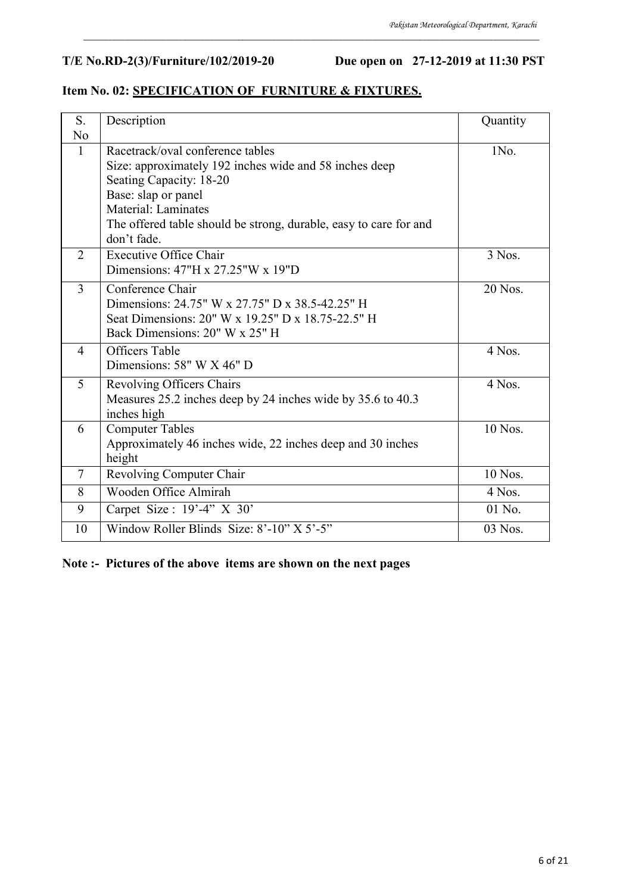## **T/E No.RD-2(3)/Furniture/102/2019-20 Due open on 27-12-2019 at 11:30 PST**

## **Item No. 02: SPECIFICATION OF FURNITURE & FIXTURES.**

| S.             | Description                                                                                                                                                                                                                                                    | Quantity |
|----------------|----------------------------------------------------------------------------------------------------------------------------------------------------------------------------------------------------------------------------------------------------------------|----------|
| N <sub>o</sub> |                                                                                                                                                                                                                                                                |          |
| $\mathbf{1}$   | Racetrack/oval conference tables<br>Size: approximately 192 inches wide and 58 inches deep<br>Seating Capacity: 18-20<br>Base: slap or panel<br><b>Material: Laminates</b><br>The offered table should be strong, durable, easy to care for and<br>don't fade. | 1No.     |
| 2              | <b>Executive Office Chair</b><br>Dimensions: $47"H x 27.25"W x 19"D$                                                                                                                                                                                           | 3 Nos.   |
| $\overline{3}$ | Conference Chair<br>Dimensions: 24.75" W x 27.75" D x 38.5-42.25" H<br>Seat Dimensions: 20" W x 19.25" D x 18.75-22.5" H<br>Back Dimensions: 20" W x 25" H                                                                                                     | 20 Nos.  |
| $\overline{4}$ | <b>Officers</b> Table<br>Dimensions: 58" W X 46" D                                                                                                                                                                                                             | 4 Nos.   |
| 5              | Revolving Officers Chairs<br>Measures 25.2 inches deep by 24 inches wide by 35.6 to 40.3<br>inches high                                                                                                                                                        | 4 Nos.   |
| 6              | <b>Computer Tables</b><br>Approximately 46 inches wide, 22 inches deep and 30 inches<br>height                                                                                                                                                                 | 10 Nos.  |
| $\tau$         | Revolving Computer Chair                                                                                                                                                                                                                                       | 10 Nos.  |
| 8              | Wooden Office Almirah                                                                                                                                                                                                                                          | 4 Nos.   |
| 9              | Carpet Size : $19' - 4''$ X 30'                                                                                                                                                                                                                                | 01 No.   |
| 10             | Window Roller Blinds Size: 8'-10" X 5'-5"                                                                                                                                                                                                                      | 03 Nos.  |

\_\_\_\_\_\_\_\_\_\_\_\_\_\_\_\_\_\_\_\_\_\_\_\_\_\_\_\_\_\_\_\_\_\_\_\_\_\_\_\_\_\_\_\_\_\_\_\_\_\_\_\_\_\_\_\_\_\_\_\_\_\_\_\_\_\_\_\_\_\_\_\_\_\_\_\_\_\_\_\_\_\_\_\_\_\_\_\_\_\_\_\_\_\_\_\_\_\_\_\_\_\_\_

#### **Note :- Pictures of the above items are shown on the next pages**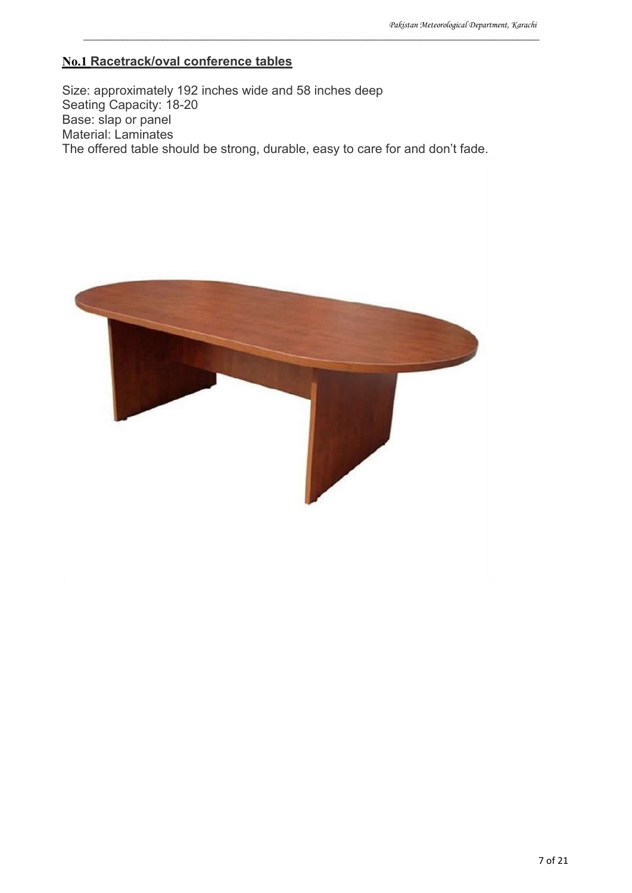## **No.1 Racetrack/oval conference tables**

Size: approximately 192 inches wide and 58 inches deep Seating Capacity: 18-20 Base: slap or panel Material: Laminates The offered table should be strong, durable, easy to care for and don't fade.

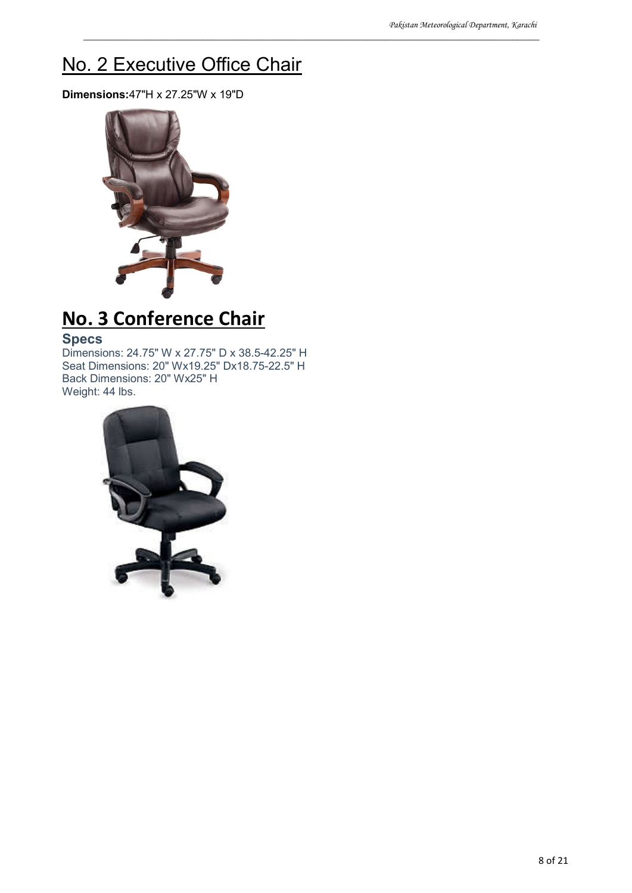# No. 2 Executive Office Chair

\_\_\_\_\_\_\_\_\_\_\_\_\_\_\_\_\_\_\_\_\_\_\_\_\_\_\_\_\_\_\_\_\_\_\_\_\_\_\_\_\_\_\_\_\_\_\_\_\_\_\_\_\_\_\_\_\_\_\_\_\_\_\_\_\_\_\_\_\_\_\_\_\_\_\_\_\_\_\_\_\_\_\_\_\_\_\_\_\_\_\_\_\_\_\_\_\_\_\_\_\_\_\_

**Dimensions:**47"H x 27.25"W x 19"D



# **No. 3 Conference Chair**

## **Specs**

Dimensions: 24.75" W x 27.75" D x 38.5-42.25" H Seat Dimensions: 20" Wx19.25" Dx18.75-22.5" H Back Dimensions: 20" Wx25" H Weight: 44 lbs.

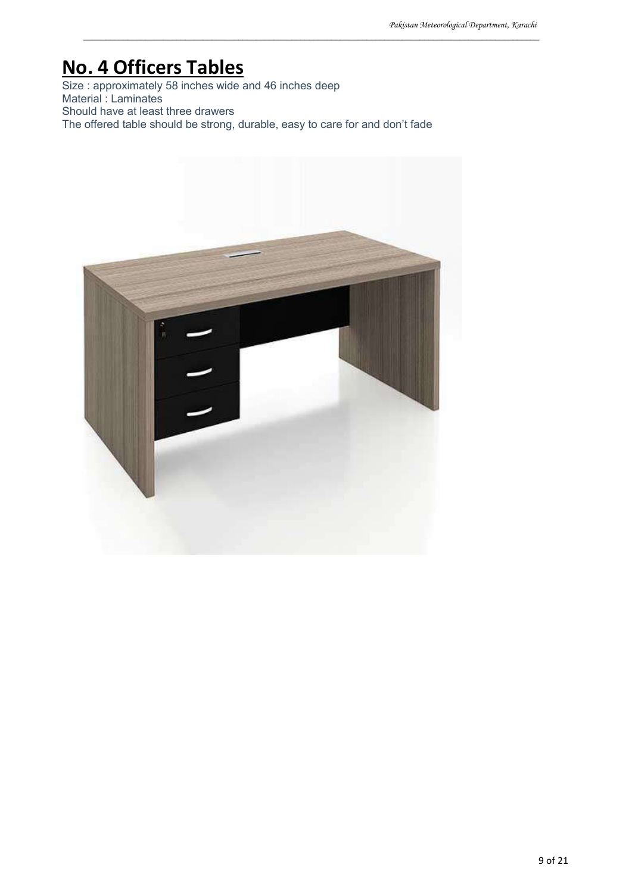# **No. 4 Officers Tables**

Size : approximately 58 inches wide and 46 inches deep Material : Laminates Should have at least three drawers The offered table should be strong, durable, easy to care for and don't fade

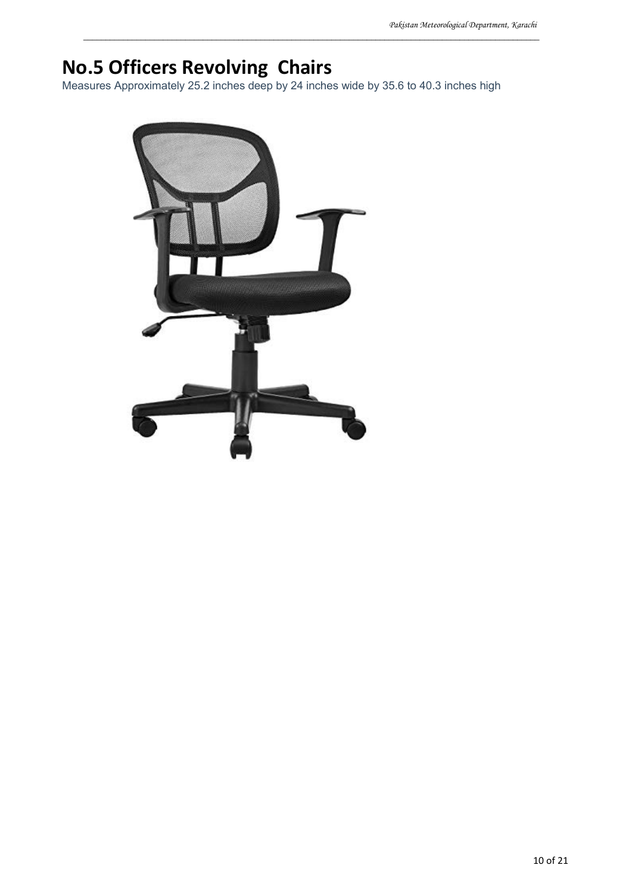# **No.5 Officers Revolving Chairs**

Measures Approximately 25.2 inches deep by 24 inches wide by 35.6 to 40.3 inches high

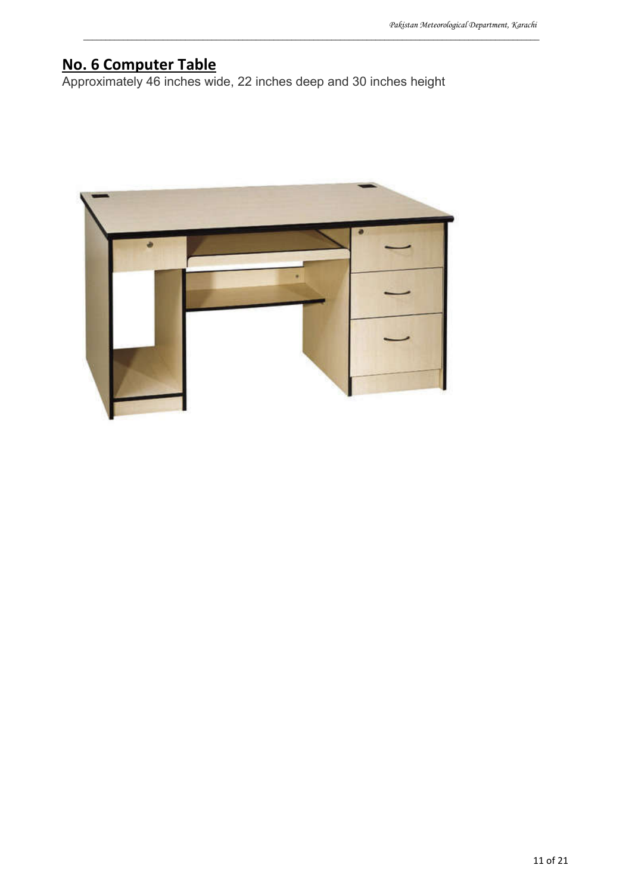## **No. 6 Computer Table**

Approximately 46 inches wide, 22 inches deep and 30 inches height

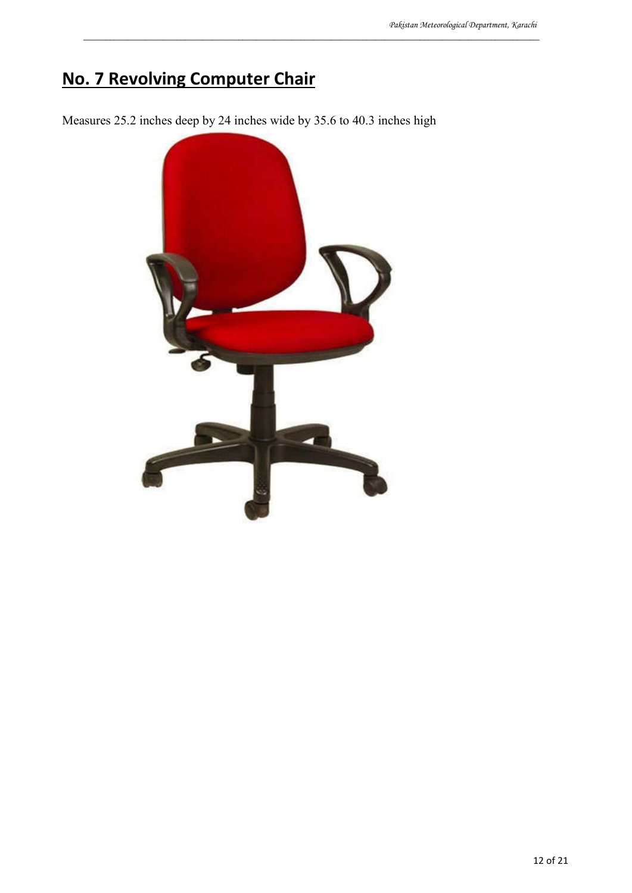# **No. 7 Revolving Computer Chair**

Measures 25.2 inches deep by 24 inches wide by 35.6 to 40.3 inches high

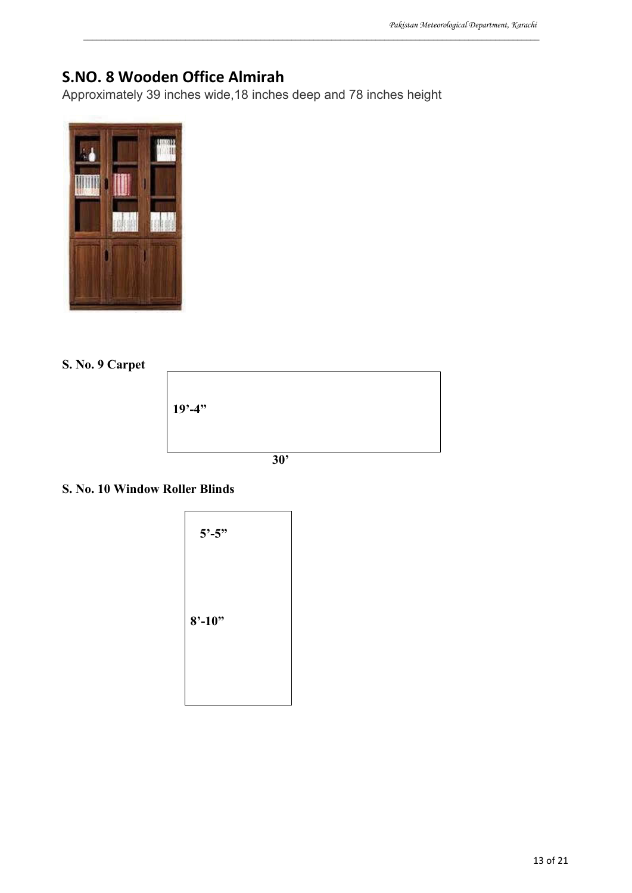## **S.NO. 8 Wooden Office Almirah**

Approximately 39 inches wide,18 inches deep and 78 inches height

\_\_\_\_\_\_\_\_\_\_\_\_\_\_\_\_\_\_\_\_\_\_\_\_\_\_\_\_\_\_\_\_\_\_\_\_\_\_\_\_\_\_\_\_\_\_\_\_\_\_\_\_\_\_\_\_\_\_\_\_\_\_\_\_\_\_\_\_\_\_\_\_\_\_\_\_\_\_\_\_\_\_\_\_\_\_\_\_\_\_\_\_\_\_\_\_\_\_\_\_\_\_\_



#### **S. No. 9 Carpet**

| $19' - 4''$ |
|-------------|
|             |

### **S. No. 10 Window Roller Blinds**

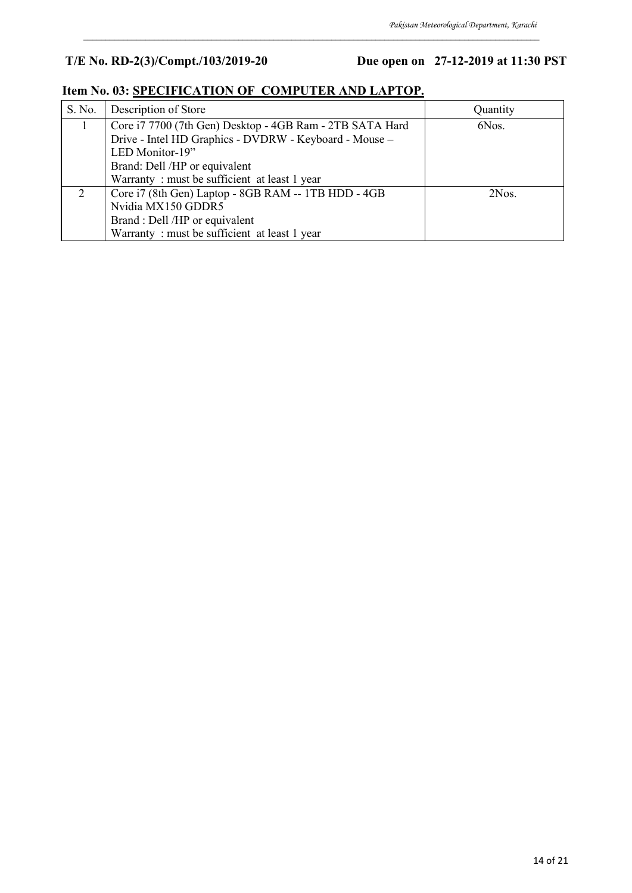## **T/E No. RD-2(3)/Compt./103/2019-20 Due open on 27-12-2019 at 11:30 PST**

| S. No. | Description of Store                                     | Quantity |
|--------|----------------------------------------------------------|----------|
|        | Core i7 7700 (7th Gen) Desktop - 4GB Ram - 2TB SATA Hard | 6Nos.    |
|        | Drive - Intel HD Graphics - DVDRW - Keyboard - Mouse -   |          |
|        | LED Monitor-19"                                          |          |
|        | Brand: Dell /HP or equivalent                            |          |
|        | Warranty: must be sufficient at least 1 year             |          |
|        | Core i7 (8th Gen) Laptop - 8GB RAM -- 1TB HDD - 4GB      | 2Nos.    |
|        | Nvidia MX150 GDDR5                                       |          |
|        | Brand : Dell /HP or equivalent                           |          |
|        | Warranty: must be sufficient at least 1 year             |          |

\_\_\_\_\_\_\_\_\_\_\_\_\_\_\_\_\_\_\_\_\_\_\_\_\_\_\_\_\_\_\_\_\_\_\_\_\_\_\_\_\_\_\_\_\_\_\_\_\_\_\_\_\_\_\_\_\_\_\_\_\_\_\_\_\_\_\_\_\_\_\_\_\_\_\_\_\_\_\_\_\_\_\_\_\_\_\_\_\_\_\_\_\_\_\_\_\_\_\_\_\_\_\_

## **Item No. 03: SPECIFICATION OF COMPUTER AND LAPTOP.**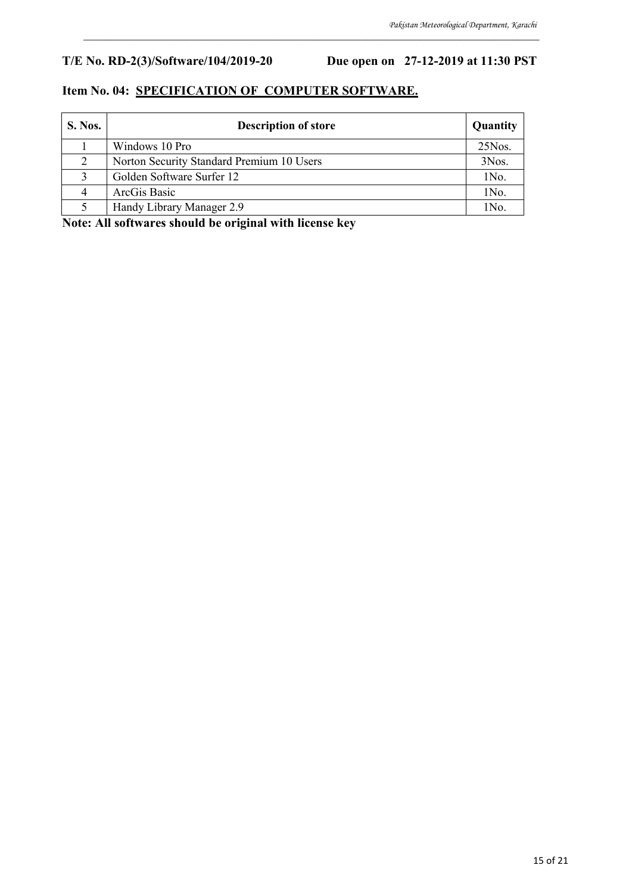## **T/E No. RD-2(3)/Software/104/2019-20 Due open on 27-12-2019 at 11:30 PST**

#### **Item No. 04: SPECIFICATION OF COMPUTER SOFTWARE.**

| S. Nos. | <b>Description of store</b>               | Quantity  |
|---------|-------------------------------------------|-----------|
|         | Windows 10 Pro                            | $25N$ os. |
| 2       | Norton Security Standard Premium 10 Users | 3Nos.     |
|         | Golden Software Surfer 12                 | 1No.      |
| 4       | ArcGis Basic                              | 1No.      |
|         | Handy Library Manager 2.9                 | 1No.      |

\_\_\_\_\_\_\_\_\_\_\_\_\_\_\_\_\_\_\_\_\_\_\_\_\_\_\_\_\_\_\_\_\_\_\_\_\_\_\_\_\_\_\_\_\_\_\_\_\_\_\_\_\_\_\_\_\_\_\_\_\_\_\_\_\_\_\_\_\_\_\_\_\_\_\_\_\_\_\_\_\_\_\_\_\_\_\_\_\_\_\_\_\_\_\_\_\_\_\_\_\_\_\_

**Note: All softwares should be original with license key**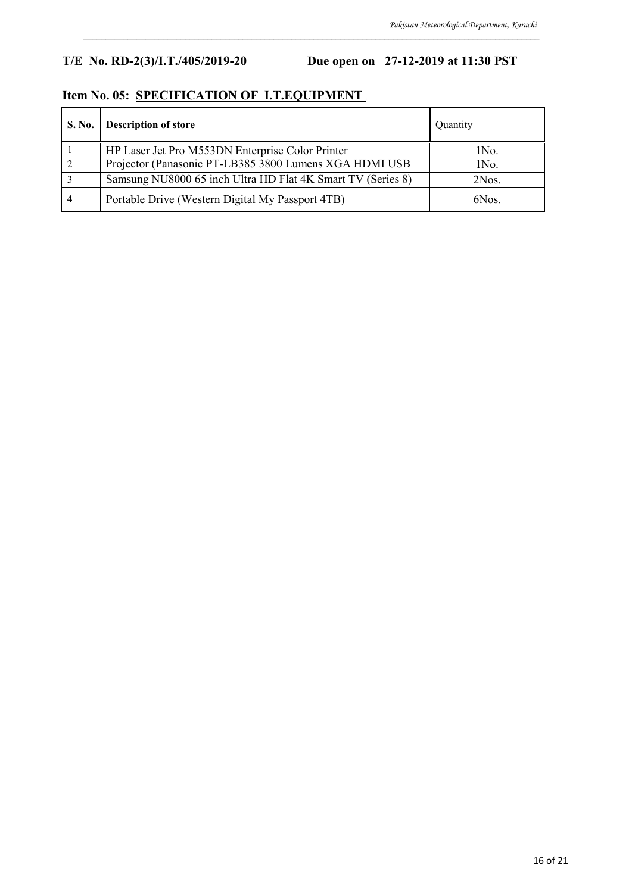## **T/E No. RD-2(3)/I.T./405/2019-20 Due open on 27-12-2019 at 11:30 PST**

## **Item No. 05: SPECIFICATION OF I.T.EQUIPMENT .**

| S. No. | <b>Description of store</b>                                 | Quantity |
|--------|-------------------------------------------------------------|----------|
|        | HP Laser Jet Pro M553DN Enterprise Color Printer            | 1No.     |
|        | Projector (Panasonic PT-LB385 3800 Lumens XGA HDMI USB      | 1No.     |
|        | Samsung NU8000 65 inch Ultra HD Flat 4K Smart TV (Series 8) | 2Nos.    |
|        | Portable Drive (Western Digital My Passport 4TB)            | 6Nos.    |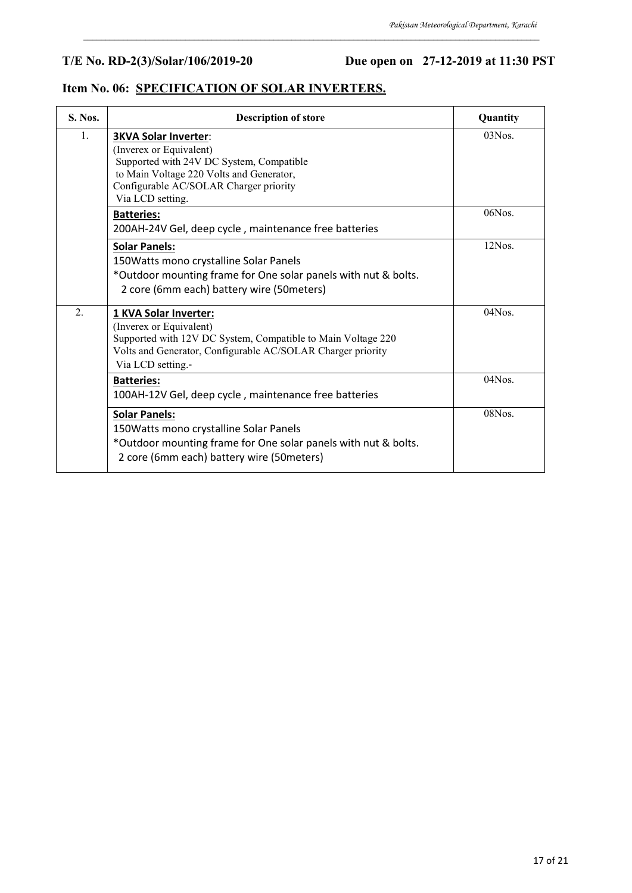## **T/E No. RD-2(3)/Solar/106/2019-20 Due open on 27-12-2019 at 11:30 PST**

|--|

| S. Nos. | <b>Description of store</b>                                                                                                                                                                                  | Quantity  |
|---------|--------------------------------------------------------------------------------------------------------------------------------------------------------------------------------------------------------------|-----------|
| 1.      | <b>3KVA Solar Inverter:</b><br>(Inverex or Equivalent)<br>Supported with 24V DC System, Compatible<br>to Main Voltage 220 Volts and Generator,<br>Configurable AC/SOLAR Charger priority<br>Via LCD setting. | $03N$ os. |
|         | <b>Batteries:</b><br>200AH-24V Gel, deep cycle, maintenance free batteries                                                                                                                                   | $06N$ os. |
|         | <b>Solar Panels:</b><br>150 Watts mono crystalline Solar Panels<br>*Outdoor mounting frame for One solar panels with nut & bolts.<br>2 core (6mm each) battery wire (50meters)                               | 12Nos.    |
| 2.      | 1 KVA Solar Inverter:<br>(Inverex or Equivalent)<br>Supported with 12V DC System, Compatible to Main Voltage 220<br>Volts and Generator, Configurable AC/SOLAR Charger priority<br>Via LCD setting.-         | 04Nos.    |
|         | <b>Batteries:</b><br>100AH-12V Gel, deep cycle, maintenance free batteries                                                                                                                                   | 04Nos.    |
|         | <b>Solar Panels:</b><br>150 Watts mono crystalline Solar Panels<br>*Outdoor mounting frame for One solar panels with nut & bolts.<br>2 core (6mm each) battery wire (50meters)                               | 08Nos.    |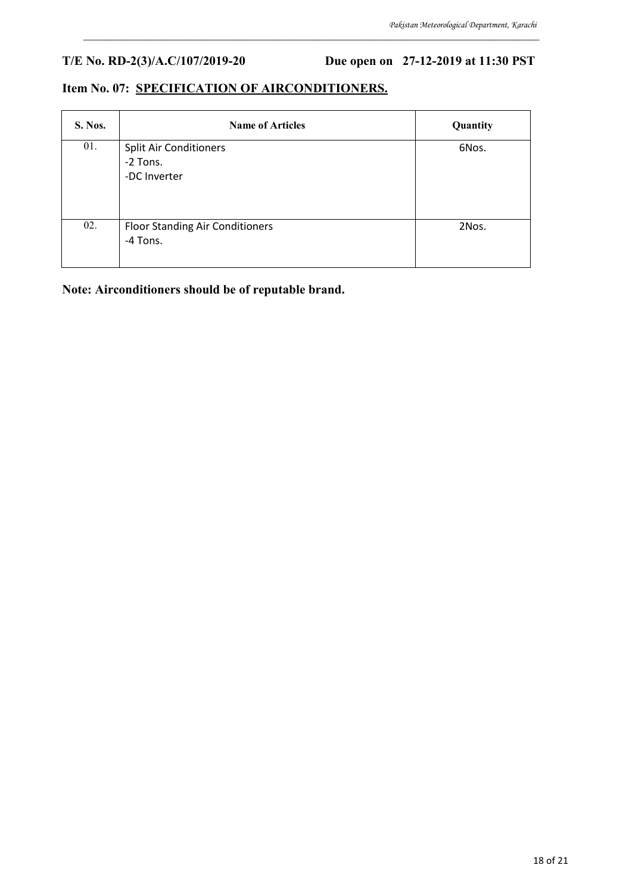**T/E No. RD-2(3)/A.C/107/2019-20 Due open on 27-12-2019 at 11:30 PST**

### **Item No. 07: SPECIFICATION OF AIRCONDITIONERS.**

| S. Nos. | <b>Name of Articles</b>                                   | Quantity |
|---------|-----------------------------------------------------------|----------|
| 01.     | <b>Split Air Conditioners</b><br>-2 Tons.<br>-DC Inverter | 6Nos.    |
| 02.     | <b>Floor Standing Air Conditioners</b><br>-4 Tons.        | 2Nos.    |

\_\_\_\_\_\_\_\_\_\_\_\_\_\_\_\_\_\_\_\_\_\_\_\_\_\_\_\_\_\_\_\_\_\_\_\_\_\_\_\_\_\_\_\_\_\_\_\_\_\_\_\_\_\_\_\_\_\_\_\_\_\_\_\_\_\_\_\_\_\_\_\_\_\_\_\_\_\_\_\_\_\_\_\_\_\_\_\_\_\_\_\_\_\_\_\_\_\_\_\_\_\_\_

**Note: Airconditioners should be of reputable brand.**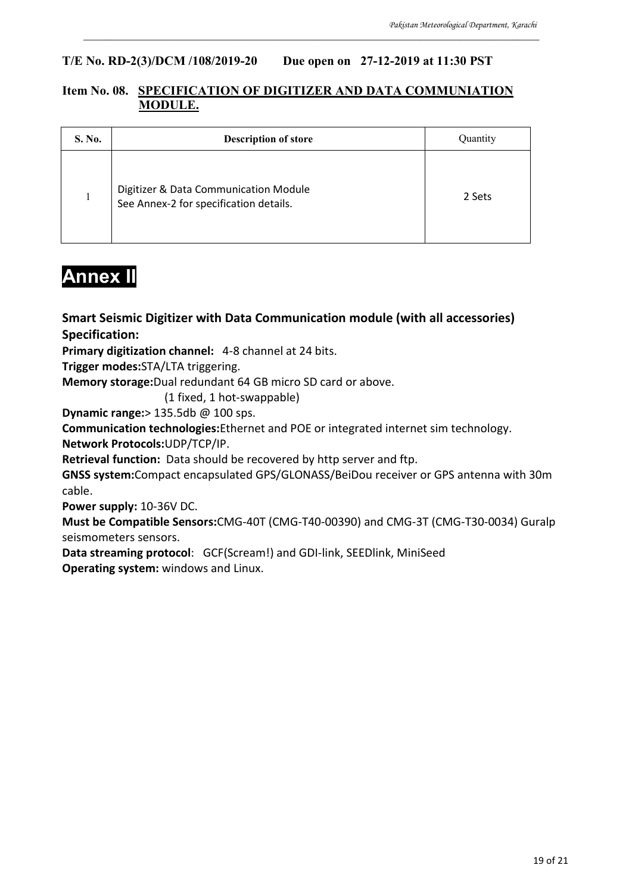#### **T/E No. RD-2(3)/DCM /108/2019-20 Due open on 27-12-2019 at 11:30 PST**

#### **Item No. 08. SPECIFICATION OF DIGITIZER AND DATA COMMUNIATION MODULE.**

\_\_\_\_\_\_\_\_\_\_\_\_\_\_\_\_\_\_\_\_\_\_\_\_\_\_\_\_\_\_\_\_\_\_\_\_\_\_\_\_\_\_\_\_\_\_\_\_\_\_\_\_\_\_\_\_\_\_\_\_\_\_\_\_\_\_\_\_\_\_\_\_\_\_\_\_\_\_\_\_\_\_\_\_\_\_\_\_\_\_\_\_\_\_\_\_\_\_\_\_\_\_\_

| S. No. | <b>Description of store</b>                                                     | Ouantity |
|--------|---------------------------------------------------------------------------------|----------|
|        | Digitizer & Data Communication Module<br>See Annex-2 for specification details. | 2 Sets   |

## **Annex II**

**Smart Seismic Digitizer with Data Communication module (with all accessories) Specification:**

**Primary digitization channel:** 4-8 channel at 24 bits.

**Trigger modes:**STA/LTA triggering.

**Memory storage:**Dual redundant 64 GB micro SD card or above.

(1 fixed, 1 hot-swappable)

**Dynamic range:**> 135.5db @ 100 sps.

**Communication technologies:**Ethernet and POE or integrated internet sim technology.

**Network Protocols:**UDP/TCP/IP.

**Retrieval function:** Data should be recovered by http server and ftp.

**GNSS system:**Compact encapsulated GPS/GLONASS/BeiDou receiver or GPS antenna with 30m cable.

**Power supply:** 10-36V DC.

**Must be Compatible Sensors:**CMG-40T (CMG-T40-00390) and CMG-3T (CMG-T30-0034) Guralp seismometers sensors.

**Data streaming protocol**: GCF(Scream!) and GDI-link, SEEDlink, MiniSeed **Operating system:** windows and Linux.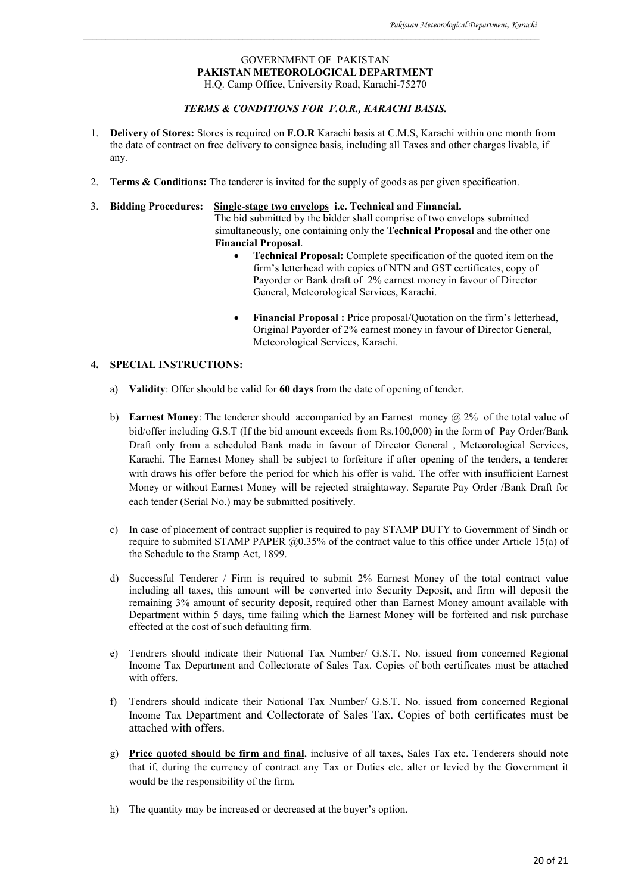#### GOVERNMENT OF PAKISTAN **PAKISTAN METEOROLOGICAL DEPARTMENT** H.Q. Camp Office, University Road, Karachi-75270

\_\_\_\_\_\_\_\_\_\_\_\_\_\_\_\_\_\_\_\_\_\_\_\_\_\_\_\_\_\_\_\_\_\_\_\_\_\_\_\_\_\_\_\_\_\_\_\_\_\_\_\_\_\_\_\_\_\_\_\_\_\_\_\_\_\_\_\_\_\_\_\_\_\_\_\_\_\_\_\_\_\_\_\_\_\_\_\_\_\_\_\_\_\_\_\_\_\_\_\_\_\_\_

#### *TERMS & CONDITIONS FOR F.O.R., KARACHI BASIS.*

- 1. **Delivery of Stores:** Stores is required on **F.O.R** Karachi basis at C.M.S, Karachi within one month from the date of contract on free delivery to consignee basis, including all Taxes and other charges livable, if any.
- 2. **Terms & Conditions:** The tenderer is invited for the supply of goods as per given specification.
- 3. **Bidding Procedures: Single-stage two envelops i.e. Technical and Financial.** The bid submitted by the bidder shall comprise of two envelops submitted simultaneously, one containing only the **Technical Proposal** and the other one **Financial Proposal**.
	- **Technical Proposal:** Complete specification of the quoted item on the firm's letterhead with copies of NTN and GST certificates, copy of Payorder or Bank draft of 2% earnest money in favour of Director General, Meteorological Services, Karachi.
	- Financial Proposal : Price proposal/Quotation on the firm's letterhead, Original Payorder of 2% earnest money in favour of Director General, Meteorological Services, Karachi.

#### **4. SPECIAL INSTRUCTIONS:**

- a) **Validity**: Offer should be valid for **60 days** from the date of opening of tender.
- b) **Earnest Money**: The tenderer should accompanied by an Earnest money @ 2% of the total value of bid/offer including G.S.T (If the bid amount exceeds from Rs.100,000) in the form of Pay Order/Bank Draft only from a scheduled Bank made in favour of Director General , Meteorological Services, Karachi. The Earnest Money shall be subject to forfeiture if after opening of the tenders, a tenderer with draws his offer before the period for which his offer is valid. The offer with insufficient Earnest Money or without Earnest Money will be rejected straightaway. Separate Pay Order /Bank Draft for each tender (Serial No.) may be submitted positively.
- c) In case of placement of contract supplier is required to pay STAMP DUTY to Government of Sindh or require to submited STAMP PAPER @0.35% of the contract value to this office under Article 15(a) of the Schedule to the Stamp Act, 1899.
- d) Successful Tenderer / Firm is required to submit 2% Earnest Money of the total contract value including all taxes, this amount will be converted into Security Deposit, and firm will deposit the remaining 3% amount of security deposit, required other than Earnest Money amount available with Department within 5 days, time failing which the Earnest Money will be forfeited and risk purchase effected at the cost of such defaulting firm.
- e) Tendrers should indicate their National Tax Number/ G.S.T. No. issued from concerned Regional Income Tax Department and Collectorate of Sales Tax. Copies of both certificates must be attached with offers.
- f) Tendrers should indicate their National Tax Number/ G.S.T. No. issued from concerned Regional Income Tax Department and Collectorate of Sales Tax. Copies of both certificates must be attached with offers.
- g) **Price quoted should be firm and final**, inclusive of all taxes, Sales Tax etc. Tenderers should note that if, during the currency of contract any Tax or Duties etc. alter or levied by the Government it would be the responsibility of the firm.
- h) The quantity may be increased or decreased at the buyer's option.